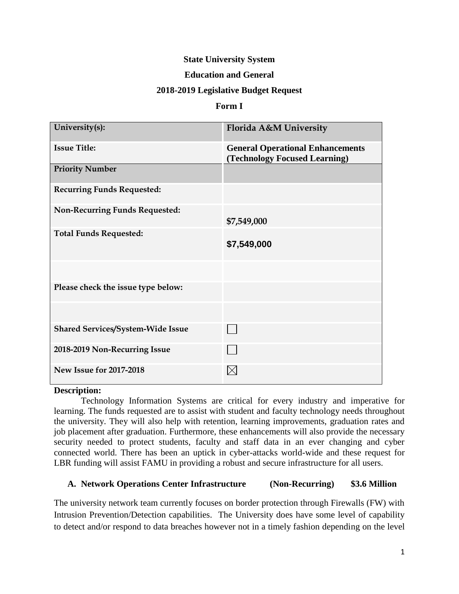## **State University System**

#### **Education and General**

#### **2018-2019 Legislative Budget Request**

#### **Form I**

| University(s):                           | Florida A&M University                                                   |
|------------------------------------------|--------------------------------------------------------------------------|
| <b>Issue Title:</b>                      | <b>General Operational Enhancements</b><br>(Technology Focused Learning) |
| <b>Priority Number</b>                   |                                                                          |
| <b>Recurring Funds Requested:</b>        |                                                                          |
| <b>Non-Recurring Funds Requested:</b>    | \$7,549,000                                                              |
| <b>Total Funds Requested:</b>            | \$7,549,000                                                              |
|                                          |                                                                          |
| Please check the issue type below:       |                                                                          |
|                                          |                                                                          |
| <b>Shared Services/System-Wide Issue</b> |                                                                          |
| 2018-2019 Non-Recurring Issue            |                                                                          |
| <b>New Issue for 2017-2018</b>           |                                                                          |

#### **Description:**

Technology Information Systems are critical for every industry and imperative for learning. The funds requested are to assist with student and faculty technology needs throughout the university. They will also help with retention, learning improvements, graduation rates and job placement after graduation. Furthermore, these enhancements will also provide the necessary security needed to protect students, faculty and staff data in an ever changing and cyber connected world. There has been an uptick in cyber-attacks world-wide and these request for LBR funding will assist FAMU in providing a robust and secure infrastructure for all users.

### **A. Network Operations Center Infrastructure (Non-Recurring) \$3.6 Million**

The university network team currently focuses on border protection through Firewalls (FW) with Intrusion Prevention/Detection capabilities. The University does have some level of capability to detect and/or respond to data breaches however not in a timely fashion depending on the level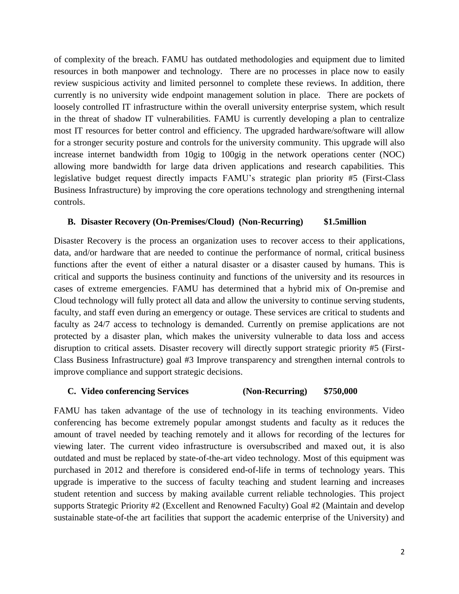of complexity of the breach. FAMU has outdated methodologies and equipment due to limited resources in both manpower and technology. There are no processes in place now to easily review suspicious activity and limited personnel to complete these reviews. In addition, there currently is no university wide endpoint management solution in place. There are pockets of loosely controlled IT infrastructure within the overall university enterprise system, which result in the threat of shadow IT vulnerabilities. FAMU is currently developing a plan to centralize most IT resources for better control and efficiency. The upgraded hardware/software will allow for a stronger security posture and controls for the university community. This upgrade will also increase internet bandwidth from 10gig to 100gig in the network operations center (NOC) allowing more bandwidth for large data driven applications and research capabilities. This legislative budget request directly impacts FAMU's strategic plan priority #5 (First-Class Business Infrastructure) by improving the core operations technology and strengthening internal controls.

#### **B. Disaster Recovery (On-Premises/Cloud) (Non-Recurring) \$1.5million**

Disaster Recovery is the process an organization uses to recover access to their applications, data, and/or hardware that are needed to continue the performance of normal, critical business functions after the event of either a natural disaster or a disaster caused by humans. This is critical and supports the business continuity and functions of the university and its resources in cases of extreme emergencies. FAMU has determined that a hybrid mix of On-premise and Cloud technology will fully protect all data and allow the university to continue serving students, faculty, and staff even during an emergency or outage. These services are critical to students and faculty as 24/7 access to technology is demanded. Currently on premise applications are not protected by a disaster plan, which makes the university vulnerable to data loss and access disruption to critical assets. Disaster recovery will directly support strategic priority #5 (First-Class Business Infrastructure) goal #3 Improve transparency and strengthen internal controls to improve compliance and support strategic decisions.

#### **C. Video conferencing Services (Non-Recurring) \$750,000**

FAMU has taken advantage of the use of technology in its teaching environments. Video conferencing has become extremely popular amongst students and faculty as it reduces the amount of travel needed by teaching remotely and it allows for recording of the lectures for viewing later. The current video infrastructure is oversubscribed and maxed out, it is also outdated and must be replaced by state-of-the-art video technology. Most of this equipment was purchased in 2012 and therefore is considered end-of-life in terms of technology years. This upgrade is imperative to the success of faculty teaching and student learning and increases student retention and success by making available current reliable technologies. This project supports Strategic Priority #2 (Excellent and Renowned Faculty) Goal #2 (Maintain and develop sustainable state-of-the art facilities that support the academic enterprise of the University) and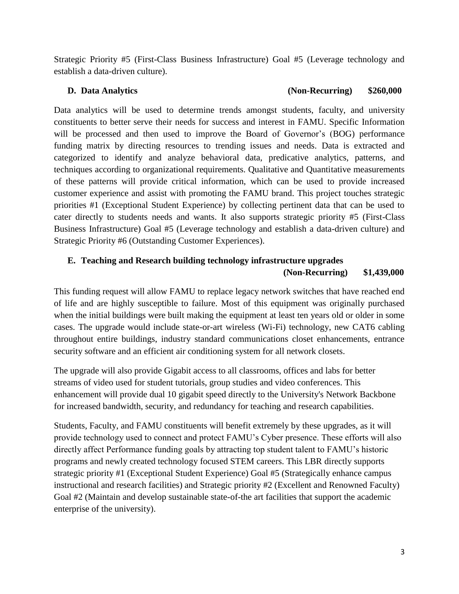Strategic Priority #5 (First-Class Business Infrastructure) Goal #5 (Leverage technology and establish a data-driven culture).

# **D. Data Analytics (Non-Recurring) \$260,000**

Data analytics will be used to determine trends amongst students, faculty, and university constituents to better serve their needs for success and interest in FAMU. Specific Information will be processed and then used to improve the Board of Governor's (BOG) performance funding matrix by directing resources to trending issues and needs. Data is extracted and categorized to identify and analyze behavioral data, predicative analytics, patterns, and techniques according to organizational requirements. Qualitative and Quantitative measurements of these patterns will provide critical information, which can be used to provide increased customer experience and assist with promoting the FAMU brand. This project touches strategic priorities #1 (Exceptional Student Experience) by collecting pertinent data that can be used to cater directly to students needs and wants. It also supports strategic priority #5 (First-Class Business Infrastructure) Goal #5 (Leverage technology and establish a data-driven culture) and Strategic Priority #6 (Outstanding Customer Experiences).

# **E. Teaching and Research building technology infrastructure upgrades**

# **(Non-Recurring) \$1,439,000**

This funding request will allow FAMU to replace legacy network switches that have reached end of life and are highly susceptible to failure. Most of this equipment was originally purchased when the initial buildings were built making the equipment at least ten years old or older in some cases. The upgrade would include state-or-art wireless (Wi-Fi) technology, new CAT6 cabling throughout entire buildings, industry standard communications closet enhancements, entrance security software and an efficient air conditioning system for all network closets.

The upgrade will also provide Gigabit access to all classrooms, offices and labs for better streams of video used for student tutorials, group studies and video conferences. This enhancement will provide dual 10 gigabit speed directly to the University's Network Backbone for increased bandwidth, security, and redundancy for teaching and research capabilities.

Students, Faculty, and FAMU constituents will benefit extremely by these upgrades, as it will provide technology used to connect and protect FAMU's Cyber presence. These efforts will also directly affect Performance funding goals by attracting top student talent to FAMU's historic programs and newly created technology focused STEM careers. This LBR directly supports strategic priority #1 (Exceptional Student Experience) Goal #5 (Strategically enhance campus instructional and research facilities) and Strategic priority #2 (Excellent and Renowned Faculty) Goal #2 (Maintain and develop sustainable state-of-the art facilities that support the academic enterprise of the university).